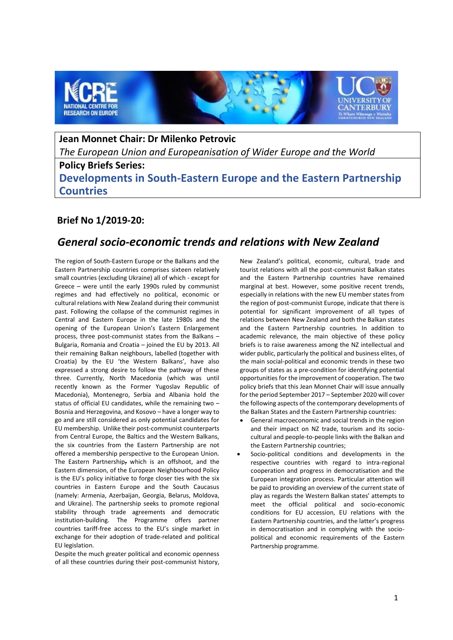

**Jean Monnet Chair: Dr Milenko Petrovic** *The European Union and Europeanisation of Wider Europe and the World* **Policy Briefs Series: Developments in South-Eastern Europe and the Eastern Partnership Countries**

# **Brief No 1/2019-20:**

# *General socio-economic trends and relations with New Zealand*

The region of South-Eastern Europe or the Balkans and the Eastern Partnership countries comprises sixteen relatively small countries (excluding Ukraine) all of which - except for Greece – were until the early 1990s ruled by communist regimes and had effectively no political, economic or cultural relations with New Zealand during their communist past. Following the collapse of the communist regimes in Central and Eastern Europe in the late 1980s and the opening of the European Union's Eastern Enlargement process, three post-communist states from the Balkans – Bulgaria, Romania and Croatia – joined the EU by 2013. All their remaining Balkan neighbours, labelled (together with Croatia) by the EU 'the Western Balkans', have also expressed a strong desire to follow the pathway of these three. Currently, North Macedonia (which was until recently known as the Former Yugoslav Republic of Macedonia), Montenegro, Serbia and Albania hold the status of official EU candidates, while the remaining two – Bosnia and Herzegovina, and Kosovo – have a longer way to go and are still considered as only potential candidates for EU membership. Unlike their post-communist counterparts from Central Europe, the Baltics and the Western Balkans, the six countries from the Eastern Partnership are not offered a membership perspective to the European Union. The Eastern Partnership, which is an offshoot, and the Eastern dimension, of the European Neighbourhood Policy is the EU's policy initiative to forge closer ties with the six countries in Eastern Europe and the South Caucasus (namely: Armenia, Azerbaijan, Georgia, Belarus, Moldova, and Ukraine). The partnership seeks to promote regional stability through trade agreements and democratic institution-building. The Programme offers partner countries tariff-free access to the EU's single market in exchange for their adoption of trade-related and political EU legislation.

Despite the much greater political and economic openness of all these countries during their post-communist history,

New Zealand's political, economic, cultural, trade and tourist relations with all the post-communist Balkan states and the Eastern Partnership countries have remained marginal at best. However, some positive recent trends, especially in relations with the new EU member states from the region of post-communist Europe, indicate that there is potential for significant improvement of all types of relations between New Zealand and both the Balkan states and the Eastern Partnership countries. In addition to academic relevance, the main objective of these policy briefs is to raise awareness among the NZ intellectual and wider public, particularly the political and business elites, of the main social-political and economic trends in these two groups of states as a pre-condition for identifying potential opportunities for the improvement of cooperation. The two policy briefs that this Jean Monnet Chair will issue annually for the period September 2017 – September 2020 will cover the following aspects of the contemporary developments of the Balkan States and the Eastern Partnership countries:

- General macroeconomic and social trends in the region and their impact on NZ trade, tourism and its sociocultural and people-to-people links with the Balkan and the Eastern Partnership countries;
- Socio-political conditions and developments in the respective countries with regard to intra-regional cooperation and progress in democratisation and the European integration process. Particular attention will be paid to providing an overview of the current state of play as regards the Western Balkan states' attempts to meet the official political and socio-economic conditions for EU accession, EU relations with the Eastern Partnership countries, and the latter's progress in democratisation and in complying with the sociopolitical and economic requirements of the Eastern Partnership programme.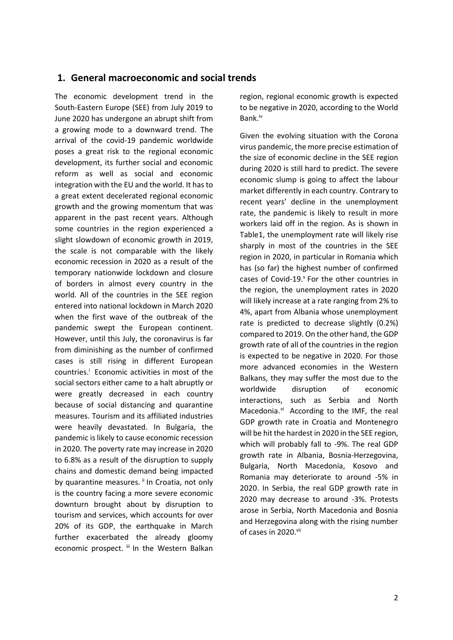## **1. General macroeconomic and social trends**

The economic development trend in the South-Eastern Europe (SEE) from July 2019 to June 2020 has undergone an abrupt shift from a growing mode to a downward trend. The arrival of the covid-19 pandemic worldwide poses a great risk to the regional economic development, its further social and economic reform as well as social and economic integration with the EU and the world. It has to a great extent decelerated regional economic growth and the growing momentum that was apparent in the past recent years. Although some countries in the region experienced a slight slowdown of economic growth in 2019, the scale is not comparable with the likely economic recession in 2020 as a result of the temporary nationwide lockdown and closure of borders in almost every country in the world. All of the countries in the SEE region entered into national lockdown in March 2020 when the first wave of the outbreak of the pandemic swept the European continent. However, until this July, the coronavirus is far from diminishing as the number of confirmed cases is still rising in different European countries.<sup>1</sup> Economic activities in most of the social sectors either came to a halt abruptly or were greatly decreased in each country because of social distancing and quarantine measures. Tourism and its affiliated industries were heavily devastated. In Bulgaria, the pandemic is likely to cause economic recession in 2020. The poverty rate may increase in 2020 to 6.8% as a result of the disruption to supply chains and domestic demand being impacted by quarantine measures. ii In Croatia, not only is the country facing a more severe economic downturn brought about by disruption to tourism and services, which accounts for over 20% of its GDP, the earthquake in March further exacerbated the already gloomy economic prospect. iii In the Western Balkan region, regional economic growth is expected to be negative in 2020, according to the World Bank. iv

Given the evolving situation with the Corona virus pandemic, the more precise estimation of the size of economic decline in the SEE region during 2020 is still hard to predict. The severe economic slump is going to affect the labour market differently in each country. Contrary to recent years' decline in the unemployment rate, the pandemic is likely to result in more workers laid off in the region. As is shown in Table1, the unemployment rate will likely rise sharply in most of the countries in the SEE region in 2020, in particular in Romania which has (so far) the highest number of confirmed cases of Covid-19.<sup>v</sup> For the other countries in the region, the unemployment rates in 2020 will likely increase at a rate ranging from 2% to 4%, apart from Albania whose unemployment rate is predicted to decrease slightly (0.2%) compared to 2019. On the other hand, the GDP growth rate of all of the countries in the region is expected to be negative in 2020. For those more advanced economies in the Western Balkans, they may suffer the most due to the worldwide disruption of economic interactions, such as Serbia and North Macedonia.<sup>vi</sup> According to the IMF, the real GDP growth rate in Croatia and Montenegro will be hit the hardest in 2020 in the SEE region, which will probably fall to -9%. The real GDP growth rate in Albania, Bosnia-Herzegovina, Bulgaria, North Macedonia, Kosovo and Romania may deteriorate to around -5% in 2020. In Serbia, the real GDP growth rate in 2020 may decrease to around -3%. Protests arose in Serbia, North Macedonia and Bosnia and Herzegovina along with the rising number of cases in 2020.vii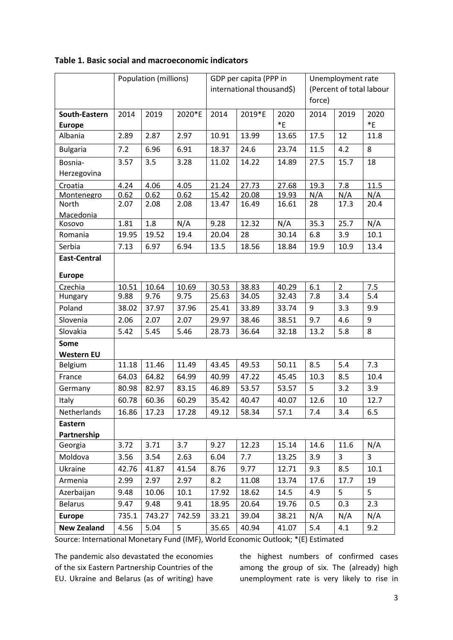|                     | Population (millions) |        | GDP per capita (PPP in |                           |        | Unemployment rate |                          |                |         |
|---------------------|-----------------------|--------|------------------------|---------------------------|--------|-------------------|--------------------------|----------------|---------|
|                     |                       |        |                        | international thousand\$) |        |                   | (Percent of total labour |                |         |
|                     |                       |        |                        |                           |        |                   | force)                   |                |         |
| South-Eastern       | 2014                  | 2019   | 2020*E                 | 2014                      | 2019*E | 2020              | 2014                     | 2019           | 2020    |
| <b>Europe</b>       |                       |        |                        |                           |        | $E^*$             |                          |                | $E^*$   |
| Albania             | 2.89                  | 2.87   | 2.97                   | 10.91                     | 13.99  | 13.65             | 17.5                     | 12             | 11.8    |
| <b>Bulgaria</b>     | 7.2                   | 6.96   | 6.91                   | 18.37                     | 24.6   | 23.74             | 11.5                     | 4.2            | 8       |
| Bosnia-             | 3.57                  | 3.5    | 3.28                   | 11.02                     | 14.22  | 14.89             | 27.5                     | 15.7           | 18      |
| Herzegovina         |                       |        |                        |                           |        |                   |                          |                |         |
| Croatia             | 4.24                  | 4.06   | 4.05                   | 21.24                     | 27.73  | 27.68             | 19.3                     | 7.8            | 11.5    |
| Montenegro          | 0.62                  | 0.62   | 0.62                   | 15.42                     | 20.08  | 19.93             | N/A                      | N/A            | N/A     |
| North               | 2.07                  | 2.08   | 2.08                   | 13.47                     | 16.49  | 16.61             | 28                       | 17.3           | 20.4    |
| <b>Macedonia</b>    |                       |        |                        |                           |        |                   |                          |                |         |
| Kosovo              | 1.81                  | 1.8    | N/A                    | 9.28                      | 12.32  | N/A               | 35.3                     | 25.7           | N/A     |
| Romania             | 19.95                 | 19.52  | 19.4                   | 20.04                     | 28     | 30.14             | 6.8                      | 3.9            | 10.1    |
| Serbia              | 7.13                  | 6.97   | 6.94                   | 13.5                      | 18.56  | 18.84             | 19.9                     | 10.9           | 13.4    |
| <b>East-Central</b> |                       |        |                        |                           |        |                   |                          |                |         |
| <b>Europe</b>       |                       |        |                        |                           |        |                   |                          |                |         |
| Czechia             | 10.51                 | 10.64  | 10.69                  | 30.53                     | 38.83  | 40.29             | 6.1                      | $\overline{2}$ | 7.5     |
| Hungary             | 9.88                  | 9.76   | 9.75                   | 25.63                     | 34.05  | 32.43             | 7.8                      | 3.4            | 5.4     |
| Poland              | 38.02                 | 37.97  | 37.96                  | 25.41                     | 33.89  | 33.74             | 9                        | 3.3            | 9.9     |
| Slovenia            | 2.06                  | 2.07   | 2.07                   | 29.97                     | 38.46  | 38.51             | 9.7                      | 4.6            | 9       |
| Slovakia            | 5.42                  | 5.45   | 5.46                   | 28.73                     | 36.64  | 32.18             | 13.2                     | 5.8            | 8       |
| Some                |                       |        |                        |                           |        |                   |                          |                |         |
| <b>Western EU</b>   |                       |        |                        |                           |        |                   |                          |                |         |
| <b>Belgium</b>      | 11.18                 | 11.46  | 11.49                  | 43.45                     | 49.53  | 50.11             | 8.5                      | 5.4            | 7.3     |
| France              | 64.03                 | 64.82  | 64.99                  | 40.99                     | 47.22  | 45.45             | 10.3                     | 8.5            | 10.4    |
| Germany             | 80.98                 | 82.97  | 83.15                  | 46.89                     | 53.57  | 53.57             | 5                        | 3.2            | 3.9     |
| Italy               | 60.78                 | 60.36  | 60.29                  | 35.42                     | 40.47  | 40.07             | 12.6                     | 10             | 12.7    |
| Netherlands         | 16.86                 | 17.23  | 17.28                  | 49.12                     | 58.34  | 57.1              | $7.4\,$                  | 3.4            | $6.5\,$ |
| Eastern             |                       |        |                        |                           |        |                   |                          |                |         |
| Partnership         |                       |        |                        |                           |        |                   |                          |                |         |
| Georgia             | 3.72                  | 3.71   | 3.7                    | 9.27                      | 12.23  | 15.14             | 14.6                     | 11.6           | N/A     |
| Moldova             | 3.56                  | 3.54   | 2.63                   | 6.04                      | 7.7    | 13.25             | 3.9                      | 3              | 3       |
| Ukraine             | 42.76                 | 41.87  | 41.54                  | 8.76                      | 9.77   | 12.71             | 9.3                      | 8.5            | 10.1    |
| Armenia             | 2.99                  | 2.97   | 2.97                   | 8.2                       | 11.08  | 13.74             | 17.6                     | 17.7           | 19      |
| Azerbaijan          | 9.48                  | 10.06  | 10.1                   | 17.92                     | 18.62  | 14.5              | 4.9                      | 5              | 5       |
| <b>Belarus</b>      | 9.47                  | 9.48   | 9.41                   | 18.95                     | 20.64  | 19.76             | 0.5                      | 0.3            | 2.3     |
| <b>Europe</b>       | 735.1                 | 743.27 | 742.59                 | 33.21                     | 39.04  | 38.21             | N/A                      | N/A            | N/A     |
| <b>New Zealand</b>  | 4.56                  | 5.04   | 5                      | 35.65                     | 40.94  | 41.07             | 5.4                      | 4.1            | 9.2     |

## **Table 1. Basic social and macroeconomic indicators**

Source: International Monetary Fund (IMF), World Economic Outlook; \*(E) Estimated

The pandemic also devastated the economies of the six Eastern Partnership Countries of the EU. Ukraine and Belarus (as of writing) have the highest numbers of confirmed cases among the group of six. The (already) high unemployment rate is very likely to rise in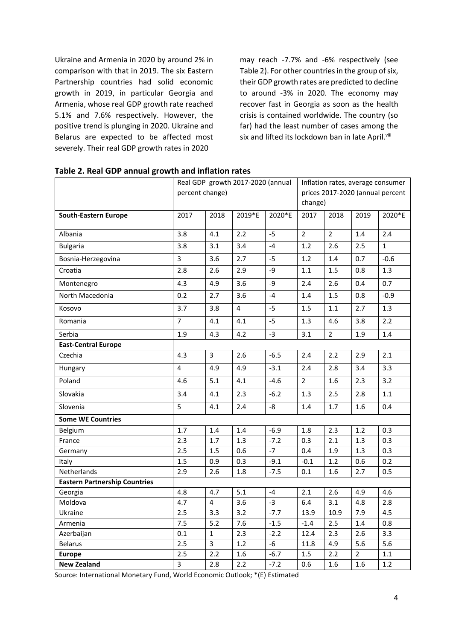Ukraine and Armenia in 2020 by around 2% in comparison with that in 2019. The six Eastern Partnership countries had solid economic growth in 2019, in particular Georgia and Armenia, whose real GDP growth rate reached 5.1% and 7.6% respectively. However, the positive trend is plunging in 2020. Ukraine and Belarus are expected to be affected most severely. Their real GDP growth rates in 2020

may reach -7.7% and -6% respectively (see Table 2). For other countries in the group of six, their GDP growth rates are predicted to decline to around -3% in 2020. The economy may recover fast in Georgia as soon as the health crisis is contained worldwide. The country (so far) had the least number of cases among the six and lifted its lockdown ban in late April.<sup>viii</sup>

|                                      |                | Real GDP growth 2017-2020 (annual |                         |        | Inflation rates, average consumer |                |      |              |
|--------------------------------------|----------------|-----------------------------------|-------------------------|--------|-----------------------------------|----------------|------|--------------|
|                                      |                | percent change)                   |                         |        | prices 2017-2020 (annual percent  |                |      |              |
|                                      |                |                                   |                         |        | change)                           |                |      |              |
| <b>South-Eastern Europe</b>          | 2017           | 2018                              | 2019*E                  | 2020*E | 2017                              | 2018           | 2019 | 2020*E       |
|                                      |                |                                   |                         |        |                                   |                |      |              |
| Albania                              | 3.8            | 4.1                               | 2.2                     | $-5$   | $\overline{2}$                    | $\overline{2}$ | 1.4  | 2.4          |
| <b>Bulgaria</b>                      | 3.8            | 3.1                               | 3.4                     | $-4$   | 1.2                               | 2.6            | 2.5  | $\mathbf{1}$ |
| Bosnia-Herzegovina                   | $\overline{3}$ | 3.6                               | 2.7                     | $-5$   | 1.2                               | 1.4            | 0.7  | $-0.6$       |
| Croatia                              | 2.8            | 2.6                               | 2.9                     | -9     | 1.1                               | 1.5            | 0.8  | 1.3          |
| Montenegro                           | 4.3            | 4.9                               | 3.6                     | -9     | 2.4                               | 2.6            | 0.4  | 0.7          |
| North Macedonia                      | 0.2            | 2.7                               | 3.6                     | $-4$   | 1.4                               | 1.5            | 0.8  | $-0.9$       |
| Kosovo                               | 3.7            | 3.8                               | $\overline{\mathbf{4}}$ | $-5$   | 1.5                               | 1.1            | 2.7  | 1.3          |
| Romania                              | $\overline{7}$ | 4.1                               | 4.1                     | $-5$   | 1.3                               | 4.6            | 3.8  | 2.2          |
| Serbia                               | 1.9            | 4.3                               | 4.2                     | $-3$   | 3.1                               | $\overline{2}$ | 1.9  | 1.4          |
| <b>East-Central Europe</b>           |                |                                   |                         |        |                                   |                |      |              |
| Czechia                              | 4.3            | $\mathbf{3}$                      | 2.6                     | $-6.5$ | 2.4                               | 2.2            | 2.9  | 2.1          |
| Hungary                              | 4              | 4.9                               | 4.9                     | $-3.1$ | 2.4                               | 2.8            | 3.4  | 3.3          |
| Poland                               | 4.6            | 5.1                               | 4.1                     | $-4.6$ | $\overline{2}$                    | 1.6            | 2.3  | 3.2          |
| Slovakia                             | 3.4            | 4.1                               | 2.3                     | $-6.2$ | 1.3                               | 2.5            | 2.8  | 1.1          |
| Slovenia                             | 5              | 4.1                               | 2.4                     | -8     | 1.4                               | 1.7            | 1.6  | 0.4          |
| <b>Some WE Countries</b>             |                |                                   |                         |        |                                   |                |      |              |
| Belgium                              | 1.7            | 1.4                               | 1.4                     | $-6.9$ | 1.8                               | 2.3            | 1.2  | 0.3          |
| France                               | 2.3            | 1.7                               | 1.3                     | $-7.2$ | 0.3                               | 2.1            | 1.3  | 0.3          |
| Germany                              | 2.5            | 1.5                               | 0.6                     | $-7$   | 0.4                               | 1.9            | 1.3  | 0.3          |
| Italy                                | 1.5            | 0.9                               | 0.3                     | $-9.1$ | $-0.1$                            | 1.2            | 0.6  | 0.2          |
| Netherlands                          | 2.9            | 2.6                               | 1.8                     | $-7.5$ | 0.1                               | 1.6            | 2.7  | 0.5          |
| <b>Eastern Partnership Countries</b> |                |                                   |                         |        |                                   |                |      |              |
| Georgia                              | 4.8            | 4.7                               | 5.1                     | $-4$   | 2.1                               | 2.6            | 4.9  | 4.6          |
| Moldova                              | 4.7            | 4                                 | 3.6                     | $-3$   | 6.4                               | 3.1            | 4.8  | 2.8          |
| Ukraine                              | 2.5            | 3.3                               | 3.2                     | $-7.7$ | 13.9                              | 10.9           | 7.9  | 4.5          |
| Armenia                              | 7.5            | 5.2                               | 7.6                     | $-1.5$ | $-1.4$                            | 2.5            | 1.4  | 0.8          |
| Azerbaijan                           | 0.1            | $\mathbf{1}$                      | 2.3                     | $-2.2$ | 12.4                              | 2.3            | 2.6  | 3.3          |
| <b>Belarus</b>                       | 2.5            | 3                                 | 1.2                     | $-6$   | 11.8                              | 4.9            | 5.6  | 5.6          |
| <b>Europe</b>                        | 2.5            | 2.2                               | 1.6                     | $-6.7$ | $1.5\,$                           | 2.2            | 2    | $1.1\,$      |
| <b>New Zealand</b>                   | $\overline{3}$ | 2.8                               | 2.2                     | $-7.2$ | 0.6                               | 1.6            | 1.6  | 1.2          |

**Table 2. Real GDP annual growth and inflation rates**

Source: International Monetary Fund, World Economic Outlook; \*(E) Estimated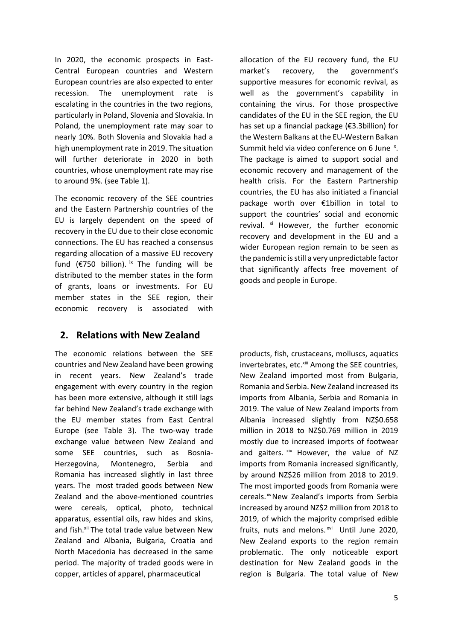In 2020, the economic prospects in East-Central European countries and Western European countries are also expected to enter recession. The unemployment rate is escalating in the countries in the two regions, particularly in Poland, Slovenia and Slovakia. In Poland, the unemployment rate may soar to nearly 10%. Both Slovenia and Slovakia had a high unemployment rate in 2019. The situation will further deteriorate in 2020 in both countries, whose unemployment rate may rise to around 9%. (see Table 1).

The economic recovery of the SEE countries and the Eastern Partnership countries of the EU is largely dependent on the speed of recovery in the EU due to their close economic connections. The EU has reached a consensus regarding allocation of a massive EU recovery fund ( $E$ 750 billion). <sup>ix</sup> The funding will be distributed to the member states in the form of grants, loans or investments. For EU member states in the SEE region, their economic recovery is associated with

# **2. Relations with New Zealand**

The economic relations between the SEE countries and New Zealand have been growing in recent years. New Zealand's trade engagement with every country in the region has been more extensive, although it still lags far behind New Zealand's trade exchange with the EU member states from East Central Europe (see Table 3). The two-way trade exchange value between New Zealand and some SEE countries, such as Bosnia-Herzegovina, Montenegro, Serbia and Romania has increased slightly in last three years. The most traded goods between New Zealand and the above-mentioned countries were cereals, optical, photo, technical apparatus, essential oils, raw hides and skins, and fish.<sup>xii</sup> The total trade value between New Zealand and Albania, Bulgaria, Croatia and North Macedonia has decreased in the same period. The majority of traded goods were in copper, articles of apparel, pharmaceutical

allocation of the EU recovery fund, the EU market's recovery, the government's supportive measures for economic revival, as well as the government's capability in containing the virus. For those prospective candidates of the EU in the SEE region, the EU has set up a financial package (€3.3billion) for the Western Balkans at the EU-Western Balkan Summit held via video conference on 6 June <sup>x</sup>. The package is aimed to support social and economic recovery and management of the health crisis. For the Eastern Partnership countries, the EU has also initiated a financial package worth over €1billion in total to support the countries' social and economic revival. xi However, the further economic recovery and development in the EU and a wider European region remain to be seen as the pandemic is still a very unpredictable factor that significantly affects free movement of goods and people in Europe.

products, fish, crustaceans, molluscs, aquatics invertebrates, etc.<sup>xiii</sup> Among the SEE countries, New Zealand imported most from Bulgaria, Romania and Serbia. New Zealand increased its imports from Albania, Serbia and Romania in 2019. The value of New Zealand imports from Albania increased slightly from NZ\$0.658 million in 2018 to NZ\$0.769 million in 2019 mostly due to increased imports of footwear and gaiters. xiv However, the value of NZ imports from Romania increased significantly, by around NZ\$26 million from 2018 to 2019. The most imported goods from Romania were cereals.<sup>xv</sup>New Zealand's imports from Serbia increased by around NZ\$2 million from 2018 to 2019, of which the majority comprised edible fruits, nuts and melons. xvi Until June 2020, New Zealand exports to the region remain problematic. The only noticeable export destination for New Zealand goods in the region is Bulgaria. The total value of New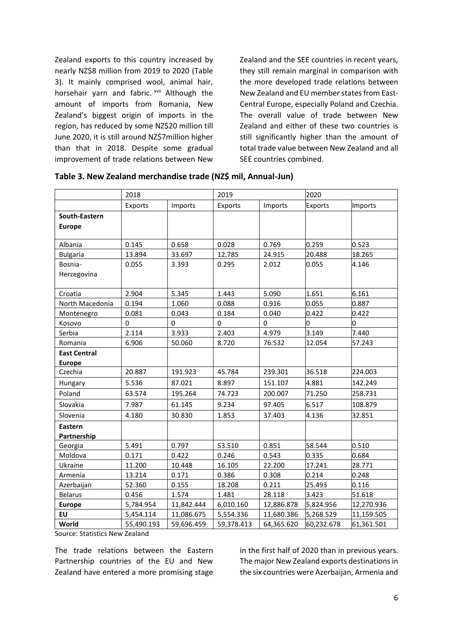Zealand exports to this country increased by nearly NZ\$8 million from 2019 to 2020 (Table 3). It mainly comprised wool, animal hair, horsehair yarn and fabric. xvii Although the amount of imports from Romania, New Zealand's biggest origin of imports in the region, has reduced by some NZ\$20 million till June 2020, it is still around NZ\$7million higher than that in 2018. Despite some gradual improvement of trade relations between New

Zealand and the SEE countries in recent years, they still remain marginal in comparison with the more developed trade relations between New Zealand and EU member states from East-Central Europe, especially Poland and Czechia. The overall value of trade between New Zealand and either of these two countries is still significantly higher than the amount of total trade value between New Zealand and all SEE countries combined.

|                     | 2018       |            | 2019       |            | 2020           |            |
|---------------------|------------|------------|------------|------------|----------------|------------|
|                     | Exports    | Imports    | Exports    | Imports    | <b>Exports</b> | Imports    |
| South-Eastern       |            |            |            |            |                |            |
| <b>Europe</b>       |            |            |            |            |                |            |
|                     |            |            |            |            |                |            |
| Albania             | 0.145      | 0.658      | 0.028      | 0.769      | 0.259          | 0.523      |
| <b>Bulgaria</b>     | 13.894     | 33.697     | 12.785     | 24.915     | 20.488         | 18.265     |
| Bosnia-             | 0.055      | 3.393      | 0.295      | 2.012      | 0.055          | 4.146      |
| Herzegovina         |            |            |            |            |                |            |
|                     |            |            |            |            |                |            |
| Croatia             | 2.904      | 5.345      | 1.443      | 5.090      | 1.651          | 6.161      |
| North Macedonia     | 0.194      | 1.060      | 0.088      | 0.916      | 0.055          | 0.887      |
| Montenegro          | 0.081      | 0.043      | 0.184      | 0.040      | 0.422          | 0.422      |
| Kosovo              | $\Omega$   | $\Omega$   | $\Omega$   | $\Omega$   | 0              | n          |
| Serbia              | 2.114      | 3.933      | 2.403      | 4.979      | 3.149          | 7.440      |
| Romania             | 6.906      | 50.060     | 8.720      | 76.532     | 12.054         | 57.243     |
| <b>East Central</b> |            |            |            |            |                |            |
| <b>Europe</b>       |            |            |            |            |                |            |
| Czechia             | 20.887     | 191.923    | 45.784     | 239.301    | 36.518         | 224.003    |
| Hungary             | 5.536      | 87.021     | 8.897      | 151.107    | 4.881          | 142.249    |
| Poland              | 63.574     | 195.264    | 74.723     | 200.007    | 71.250         | 258.731    |
| Slovakia            | 7.987      | 61.145     | 9.234      | 97.405     | 6.517          | 108.879    |
| Slovenia            | 4.180      | 30.830     | 1.853      | 37.403     | 4.136          | 32.851     |
| <b>Eastern</b>      |            |            |            |            |                |            |
| Partnership         |            |            |            |            |                |            |
| Georgia             | 5.491      | 0.797      | 53.510     | 0.851      | 58.544         | 0.510      |
| Moldova             | 0.171      | 0.422      | 0.246      | 0.543      | 0.335          | 0.684      |
| Ukraine             | 11.200     | 10.448     | 16.105     | 22.200     | 17.241         | 28.771     |
| Armenia             | 13.214     | 0.171      | 0.386      | 0.308      | 0.214          | 0.248      |
| Azerbaijan          | 52.360     | 0.155      | 18.208     | 0.211      | 25.493         | 0.116      |
| <b>Belarus</b>      | 0.456      | 1.574      | 1.481      | 28.118     | 3.423          | 51.618     |
| <b>Europe</b>       | 5,784.954  | 11,842.444 | 6,010.160  | 12,886.878 | 5,824.956      | 12,270.936 |
| <b>EU</b>           | 5,454.114  | 11,086.675 | 5,554.336  | 11,680.386 | 5,268.529      | 11,159.505 |
| World               | 55,490.193 | 59,696.459 | 59,378.413 | 64,365.620 | 60,232.678     | 61,361.501 |

| Table 3. New Zealand merchandise trade (NZ\$ mil, Annual-Jun) |  |
|---------------------------------------------------------------|--|
|---------------------------------------------------------------|--|

Source: Statistics New Zealand

The trade relations between the Eastern Partnership countries of the EU and New Zealand have entered a more promising stage in the first half of 2020 than in previous years. The major New Zealand exports destinations in the six countries were Azerbaijan, Armenia and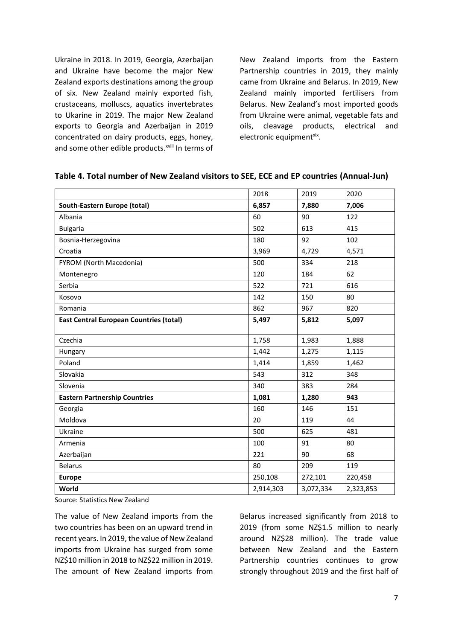Ukraine in 2018. In 2019, Georgia, Azerbaijan and Ukraine have become the major New Zealand exports destinations among the group of six. New Zealand mainly exported fish, crustaceans, molluscs, aquatics invertebrates to Ukarine in 2019. The major New Zealand exports to Georgia and Azerbaijan in 2019 concentrated on dairy products, eggs, honey, and some other edible products. XViii In terms of New Zealand imports from the Eastern Partnership countries in 2019, they mainly came from Ukraine and Belarus. In 2019, New Zealand mainly imported fertilisers from Belarus. New Zealand's most imported goods from Ukraine were animal, vegetable fats and oils, cleavage products, electrical and electronic equipmentxix.

|                                                | 2018      | 2019      | 2020      |
|------------------------------------------------|-----------|-----------|-----------|
| South-Eastern Europe (total)                   | 6,857     | 7,880     | 7,006     |
| Albania                                        | 60        | 90        | 122       |
| <b>Bulgaria</b>                                | 502       | 613       | 415       |
| Bosnia-Herzegovina                             | 180       | 92        | 102       |
| Croatia                                        | 3,969     | 4,729     | 4,571     |
| FYROM (North Macedonia)                        | 500       | 334       | 218       |
| Montenegro                                     | 120       | 184       | 62        |
| Serbia                                         | 522       | 721       | 616       |
| Kosovo                                         | 142       | 150       | 80        |
| Romania                                        | 862       | 967       | 820       |
| <b>East Central European Countries (total)</b> | 5,497     | 5,812     | 5,097     |
|                                                |           |           |           |
| Czechia                                        | 1,758     | 1,983     | 1,888     |
| Hungary                                        | 1,442     | 1,275     | 1,115     |
| Poland                                         | 1,414     | 1,859     | 1,462     |
| Slovakia                                       | 543       | 312       | 348       |
| Slovenia                                       | 340       | 383       | 284       |
| <b>Eastern Partnership Countries</b>           | 1,081     | 1,280     | 943       |
| Georgia                                        | 160       | 146       | 151       |
| Moldova                                        | 20        | 119       | 44        |
| Ukraine                                        | 500       | 625       | 481       |
| Armenia                                        | 100       | 91        | 80        |
| Azerbaijan                                     | 221       | 90        | 68        |
| <b>Belarus</b>                                 | 80        | 209       | 119       |
| <b>Europe</b>                                  | 250,108   | 272,101   | 220,458   |
| World                                          | 2,914,303 | 3,072,334 | 2,323,853 |

### **Table 4. Total number of New Zealand visitors to SEE, ECE and EP countries (Annual-Jun)**

Source: Statistics New Zealand

The value of New Zealand imports from the two countries has been on an upward trend in recent years. In 2019, the value of New Zealand imports from Ukraine has surged from some NZ\$10 million in 2018 to NZ\$22 million in 2019. The amount of New Zealand imports from

Belarus increased significantly from 2018 to 2019 (from some NZ\$1.5 million to nearly around NZ\$28 million). The trade value between New Zealand and the Eastern Partnership countries continues to grow strongly throughout 2019 and the first half of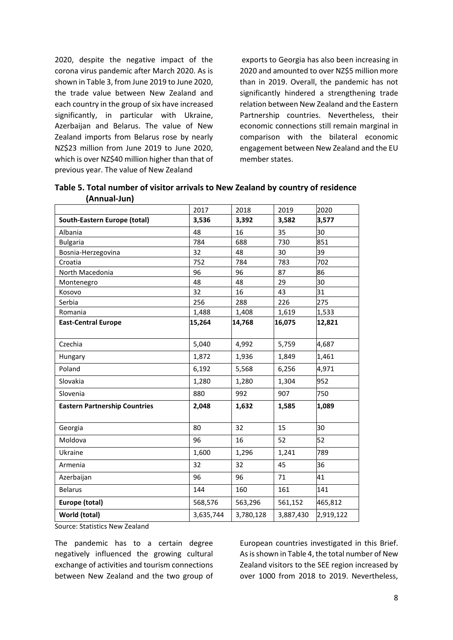2020, despite the negative impact of the corona virus pandemic after March 2020. As is shown in Table 3, from June 2019 to June 2020, the trade value between New Zealand and each country in the group of six have increased significantly, in particular with Ukraine, Azerbaijan and Belarus. The value of New Zealand imports from Belarus rose by nearly NZ\$23 million from June 2019 to June 2020, which is over NZ\$40 million higher than that of previous year. The value of New Zealand

exports to Georgia has also been increasing in 2020 and amounted to over NZ\$5 million more than in 2019. Overall, the pandemic has not significantly hindered a strengthening trade relation between New Zealand and the Eastern Partnership countries. Nevertheless, their economic connections still remain marginal in comparison with the bilateral economic engagement between New Zealand and the EU member states.

|                                      | 2017      | 2018      | 2019      | 2020      |
|--------------------------------------|-----------|-----------|-----------|-----------|
| South-Eastern Europe (total)         | 3,536     | 3,392     | 3,582     | 3,577     |
| Albania                              | 48        | 16        | 35        | 30        |
| <b>Bulgaria</b>                      | 784       | 688       | 730       | 851       |
| Bosnia-Herzegovina                   | 32        | 48        | 30        | 39        |
| Croatia                              | 752       | 784       | 783       | 702       |
| North Macedonia                      | 96        | 96        | 87        | 86        |
| Montenegro                           | 48        | 48        | 29        | 30        |
| Kosovo                               | 32        | 16        | 43        | 31        |
| Serbia                               | 256       | 288       | 226       | 275       |
| Romania                              | 1,488     | 1,408     | 1,619     | 1,533     |
| <b>East-Central Europe</b>           | 15,264    | 14,768    | 16,075    | 12,821    |
|                                      |           |           |           |           |
| Czechia                              | 5,040     | 4,992     | 5,759     | 4,687     |
| Hungary                              | 1,872     | 1,936     | 1,849     | 1,461     |
| Poland                               | 6,192     | 5,568     | 6,256     | 4,971     |
| Slovakia                             | 1,280     | 1,280     | 1,304     | 952       |
| Slovenia                             | 880       | 992       | 907       | 750       |
| <b>Eastern Partnership Countries</b> | 2,048     | 1,632     | 1,585     | 1,089     |
|                                      |           |           |           |           |
| Georgia                              | 80        | 32        | 15        | 30        |
| Moldova                              | 96        | 16        | 52        | 52        |
| Ukraine                              | 1,600     | 1,296     | 1,241     | 789       |
| Armenia                              | 32        | 32        | 45        | 36        |
| Azerbaijan                           | 96        | 96        | 71        | 41        |
| <b>Belarus</b>                       | 144       | 160       | 161       | 141       |
| Europe (total)                       | 568,576   | 563,296   | 561,152   | 465,812   |
| World (total)                        | 3,635,744 | 3,780,128 | 3,887,430 | 2,919,122 |

| Table 5. Total number of visitor arrivals to New Zealand by country of residence |  |  |
|----------------------------------------------------------------------------------|--|--|
| (Annual-Jun)                                                                     |  |  |

Source: Statistics New Zealand

The pandemic has to a certain degree negatively influenced the growing cultural exchange of activities and tourism connections between New Zealand and the two group of European countries investigated in this Brief. As is shown in Table 4, the total number of New Zealand visitors to the SEE region increased by over 1000 from 2018 to 2019. Nevertheless,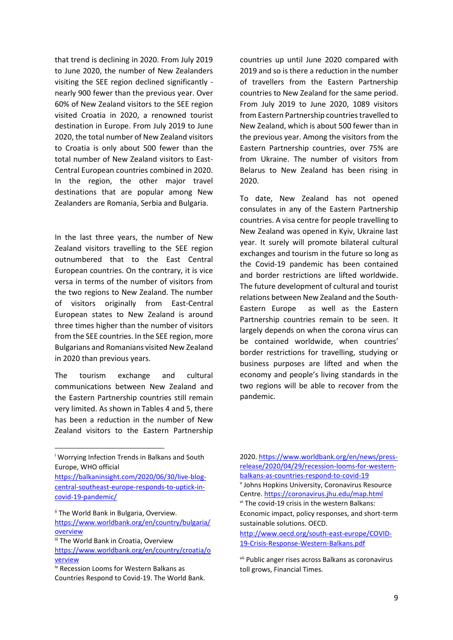that trend is declining in 2020. From July 2019 to June 2020, the number of New Zealanders visiting the SEE region declined significantly nearly 900 fewer than the previous year. Over 60% of New Zealand visitors to the SEE region visited Croatia in 2020, a renowned tourist destination in Europe. From July 2019 to June 2020, the total number of New Zealand visitors to Croatia is only about 500 fewer than the total number of New Zealand visitors to East-Central European countries combined in 2020. In the region, the other major travel destinations that are popular among New Zealanders are Romania, Serbia and Bulgaria.

In the last three years, the number of New Zealand visitors travelling to the SEE region outnumbered that to the East Central European countries. On the contrary, it is vice versa in terms of the number of visitors from the two regions to New Zealand. The number of visitors originally from East-Central European states to New Zealand is around three times higher than the number of visitors from the SEE countries. In the SEE region, more Bulgarians and Romanians visited New Zealand in 2020 than previous years.

The tourism exchange and cultural communications between New Zealand and the Eastern Partnership countries still remain very limited. As shown in Tables 4 and 5, there has been a reduction in the number of New Zealand visitors to the Eastern Partnership

<sup>i</sup> Worrying Infection Trends in Balkans and South Europe, WHO official

**.** 

[https://balkaninsight.com/2020/06/30/live-blog](https://balkaninsight.com/2020/06/30/live-blog-central-southeast-europe-responds-to-uptick-in-covid-19-pandemic/)[central-southeast-europe-responds-to-uptick-in](https://balkaninsight.com/2020/06/30/live-blog-central-southeast-europe-responds-to-uptick-in-covid-19-pandemic/)[covid-19-pandemic/](https://balkaninsight.com/2020/06/30/live-blog-central-southeast-europe-responds-to-uptick-in-covid-19-pandemic/)

ii The World Bank in Bulgaria, Overview. [https://www.worldbank.org/en/country/bulgaria/](https://www.worldbank.org/en/country/bulgaria/overview) [overview](https://www.worldbank.org/en/country/bulgaria/overview)

countries up until June 2020 compared with 2019 and so is there a reduction in the number of travellers from the Eastern Partnership countries to New Zealand for the same period. From July 2019 to June 2020, 1089 visitors from Eastern Partnership countries travelled to New Zealand, which is about 500 fewer than in the previous year. Among the visitors from the Eastern Partnership countries, over 75% are from Ukraine. The number of visitors from Belarus to New Zealand has been rising in 2020.

To date, New Zealand has not opened consulates in any of the Eastern Partnership countries. A visa centre for people travelling to New Zealand was opened in Kyiv, Ukraine last year. It surely will promote bilateral cultural exchanges and tourism in the future so long as the Covid-19 pandemic has been contained and border restrictions are lifted worldwide. The future development of cultural and tourist relations between New Zealand and the South-Eastern Europe as well as the Eastern Partnership countries remain to be seen. It largely depends on when the corona virus can be contained worldwide, when countries' border restrictions for travelling, studying or business purposes are lifted and when the economy and people's living standards in the two regions will be able to recover from the pandemic.

2020[. https://www.worldbank.org/en/news/press](https://www.worldbank.org/en/news/press-release/2020/04/29/recession-looms-for-western-balkans-as-countries-respond-to-covid-19)[release/2020/04/29/recession-looms-for-western](https://www.worldbank.org/en/news/press-release/2020/04/29/recession-looms-for-western-balkans-as-countries-respond-to-covid-19)[balkans-as-countries-respond-to-covid-19](https://www.worldbank.org/en/news/press-release/2020/04/29/recession-looms-for-western-balkans-as-countries-respond-to-covid-19) v Johns Hopkins University, Coronavirus Resource Centre[. https://coronavirus.jhu.edu/map.html](https://coronavirus.jhu.edu/map.html) vi The covid-19 crisis in the western Balkans: Economic impact, policy responses, and short-term sustainable solutions. OECD. [http://www.oecd.org/south-east-europe/COVID-](http://www.oecd.org/south-east-europe/COVID-19-Crisis-Response-Western-Balkans.pdf)

[19-Crisis-Response-Western-Balkans.pdf](http://www.oecd.org/south-east-europe/COVID-19-Crisis-Response-Western-Balkans.pdf)

vii Public anger rises across Balkans as coronavirus toll grows, Financial Times.

iii The World Bank in Croatia, Overview [https://www.worldbank.org/en/country/croatia/o](https://www.worldbank.org/en/country/croatia/overview) [verview](https://www.worldbank.org/en/country/croatia/overview)

iv Recession Looms for Western Balkans as Countries Respond to Covid-19. The World Bank.